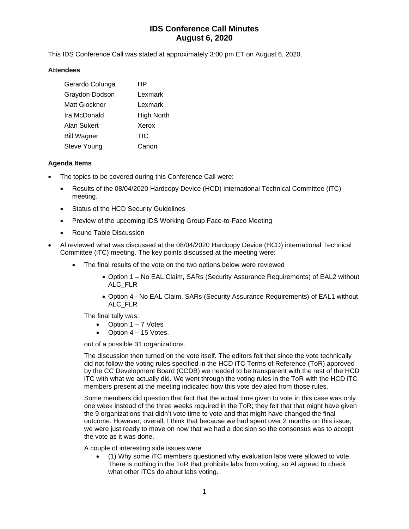# **IDS Conference Call Minutes August 6, 2020**

This IDS Conference Call was stated at approximately 3:00 pm ET on August 6, 2020.

#### **Attendees**

| Gerardo Colunga    | ΗP         |
|--------------------|------------|
| Graydon Dodson     | Lexmark    |
| Matt Glockner      | Lexmark    |
| Ira McDonald       | High North |
| Alan Sukert        | Xerox      |
| <b>Bill Wagner</b> | <b>TIC</b> |
| Steve Young        | Canon      |

### **Agenda Items**

- The topics to be covered during this Conference Call were:
	- Results of the 08/04/2020 Hardcopy Device (HCD) international Technical Committee (iTC) meeting.
	- Status of the HCD Security Guidelines
	- Preview of the upcoming IDS Working Group Face-to-Face Meeting
	- Round Table Discussion
- Al reviewed what was discussed at the 08/04/2020 Hardcopy Device (HCD) international Technical Committee (iTC) meeting. The key points discussed at the meeting were:
	- The final results of the vote on the two options below were reviewed
		- Option 1 No EAL Claim, SARs (Security Assurance Requirements) of EAL2 without ALC\_FLR
		- Option 4 No EAL Claim, SARs (Security Assurance Requirements) of EAL1 without ALC\_FLR

The final tally was:

- Option 1 7 Votes
- Option  $4 15$  Votes.

out of a possible 31 organizations.

The discussion then turned on the vote itself. The editors felt that since the vote technically did not follow the voting rules specified in the HCD iTC Terms of Reference (ToR) approved by the CC Development Board (CCDB) we needed to be transparent with the rest of the HCD iTC with what we actually did. We went through the voting rules in the ToR with the HCD iTC members present at the meeting indicated how this vote deviated from those rules.

Some members did question that fact that the actual time given to vote in this case was only one week instead of the three weeks required in the ToR; they felt that that might have given the 9 organizations that didn't vote time to vote and that might have changed the final outcome. However, overall, I think that because we had spent over 2 months on this issue; we were just ready to move on now that we had a decision so the consensus was to accept the vote as it was done.

A couple of interesting side issues were

• (1) Why some iTC members questioned why evaluation labs were allowed to vote. There is nothing in the ToR that prohibits labs from voting, so Al agreed to check what other iTCs do about labs voting.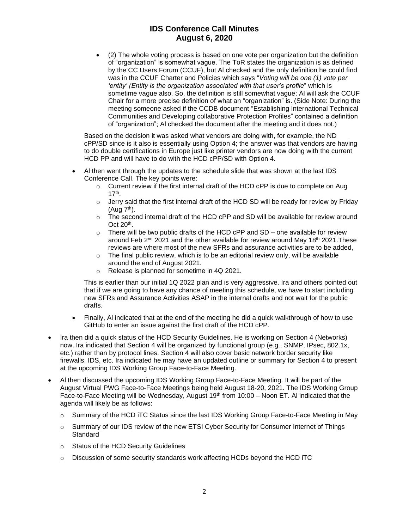## **IDS Conference Call Minutes August 6, 2020**

• (2) The whole voting process is based on one vote per organization but the definition of "organization" is somewhat vague. The ToR states the organization is as defined by the CC Users Forum (CCUF), but Al checked and the only definition he could find was in the CCUF Charter and Policies which says "*Voting will be one (1) vote per 'entity' (Entity is the organization associated with that user's profile*" which is sometime vague also. So, the definition is still somewhat vague; Al will ask the CCUF Chair for a more precise definition of what an "organization" is. (Side Note: During the meeting someone asked if the CCDB document "Establishing International Technical Communities and Developing collaborative Protection Profiles" contained a definition of "organization"; Al checked the document after the meeting and it does not.)

Based on the decision it was asked what vendors are doing with, for example, the ND cPP/SD since is it also is essentially using Option 4; the answer was that vendors are having to do double certifications in Europe just like printer vendors are now doing with the current HCD PP and will have to do with the HCD cPP/SD with Option 4.

- Al then went through the updates to the schedule slide that was shown at the last IDS Conference Call. The key points were:
	- $\circ$  Current review if the first internal draft of the HCD cPP is due to complete on Aug 17th .
	- $\circ$  Jerry said that the first internal draft of the HCD SD will be ready for review by Friday  $(Auq 7<sup>th</sup>)$ .
	- $\circ$  The second internal draft of the HCD cPP and SD will be available for review around Oct  $20<sup>th</sup>$ .
	- $\circ$  There will be two public drafts of the HCD cPP and SD one available for review around Feb  $2^{nd}$  2021 and the other available for review around May 18<sup>th</sup> 2021. These reviews are where most of the new SFRs and assurance activities are to be added,
	- $\circ$  The final public review, which is to be an editorial review only, will be available around the end of August 2021.
	- o Release is planned for sometime in 4Q 2021.

This is earlier than our initial 1Q 2022 plan and is very aggressive. Ira and others pointed out that if we are going to have any chance of meeting this schedule, we have to start including new SFRs and Assurance Activities ASAP in the internal drafts and not wait for the public drafts.

- Finally, AI indicated that at the end of the meeting he did a quick walkthrough of how to use GitHub to enter an issue against the first draft of the HCD cPP.
- Ira then did a quick status of the HCD Security Guidelines. He is working on Section 4 (Networks) now. Ira indicated that Section 4 will be organized by functional group (e.g., SNMP, IPsec, 802.1x, etc.) rather than by protocol lines. Section 4 will also cover basic network border security like firewalls, IDS, etc. Ira indicated he may have an updated outline or summary for Section 4 to present at the upcoming IDS Working Group Face-to-Face Meeting.
- Al then discussed the upcoming IDS Working Group Face-to-Face Meeting. It will be part of the August Virtual PWG Face-to-Face Meetings being held August 18-20, 2021. The IDS Working Group Face-to-Face Meeting will be Wednesday, August  $19<sup>th</sup>$  from 10:00 – Noon ET. Al indicated that the agenda will likely be as follows:
	- o Summary of the HCD iTC Status since the last IDS Working Group Face-to-Face Meeting in May
	- o Summary of our IDS review of the new ETSI Cyber Security for Consumer Internet of Things **Standard**
	- o Status of the HCD Security Guidelines
	- $\circ$  Discussion of some security standards work affecting HCDs beyond the HCD iTC